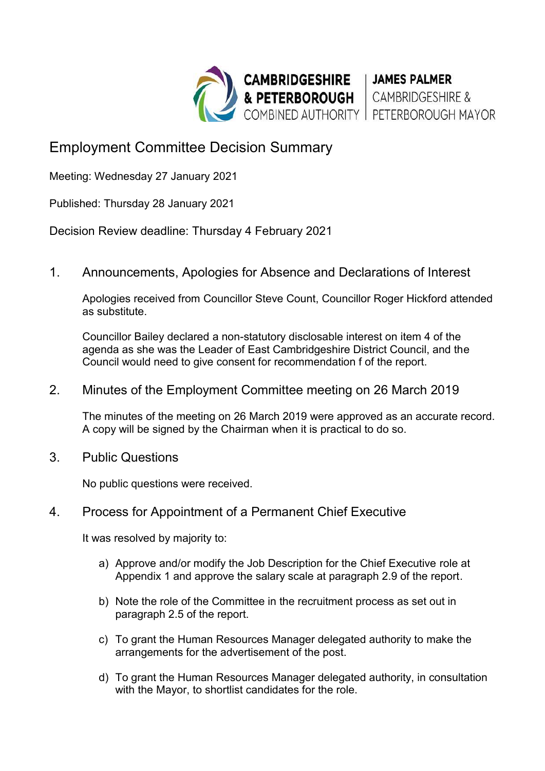

## Employment Committee Decision Summary

Meeting: Wednesday 27 January 2021

Published: Thursday 28 January 2021

Decision Review deadline: Thursday 4 February 2021

1. Announcements, Apologies for Absence and Declarations of Interest

Apologies received from Councillor Steve Count, Councillor Roger Hickford attended as substitute.

Councillor Bailey declared a non-statutory disclosable interest on item 4 of the agenda as she was the Leader of East Cambridgeshire District Council, and the Council would need to give consent for recommendation f of the report.

## 2. Minutes of the Employment Committee meeting on 26 March 2019

The minutes of the meeting on 26 March 2019 were approved as an accurate record. A copy will be signed by the Chairman when it is practical to do so.

3. Public Questions

No public questions were received.

## 4. Process for Appointment of a Permanent Chief Executive

It was resolved by majority to:

- a) Approve and/or modify the Job Description for the Chief Executive role at Appendix 1 and approve the salary scale at paragraph 2.9 of the report.
- b) Note the role of the Committee in the recruitment process as set out in paragraph 2.5 of the report.
- c) To grant the Human Resources Manager delegated authority to make the arrangements for the advertisement of the post.
- d) To grant the Human Resources Manager delegated authority, in consultation with the Mayor, to shortlist candidates for the role.